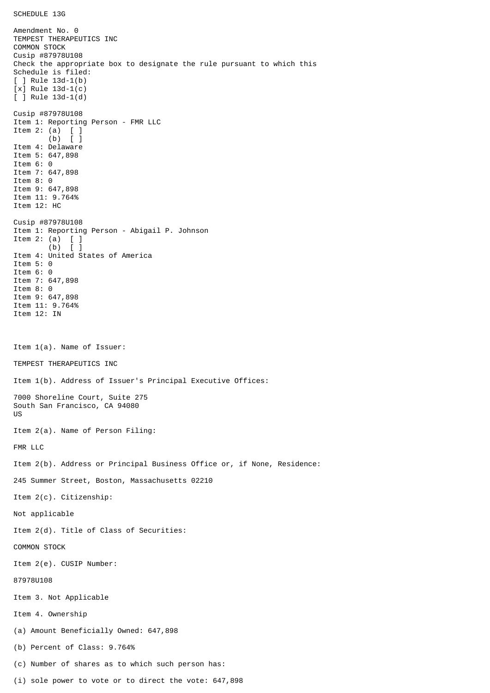Amendment No. 0 TEMPEST THERAPEUTICS INC COMMON STOCK Cusip #87978U108 Check the appropriate box to designate the rule pursuant to which this Schedule is filed:  $[ ]$  Rule 13d-1(b) [x] Rule 13d-1(c)  $\overline{[}$   $\overline{]}$  Rule 13d-1(d) Cusip #87978U108 Item 1: Reporting Person - FMR LLC Item 2: (a) [ ] (b) [ ] Item 4: Delaware Item 5: 647,898 Item 6: 0 Item 7: 647,898 Item 8: 0 Item 9: 647,898 Item 11: 9.764% Item 12: HC Cusip #87978U108 Item 1: Reporting Person - Abigail P. Johnson Item 2: (a)  $\begin{bmatrix} 1 \\ 0 \end{bmatrix}$  $(b)$ Item 4: United States of America Item 5: 0 Item 6: 0 Item 7: 647,898 Item 8: 0 Item 9: 647,898 Item 11: 9.764% Item 12: IN Item 1(a). Name of Issuer: TEMPEST THERAPEUTICS INC Item 1(b). Address of Issuer's Principal Executive Offices: 7000 Shoreline Court, Suite 275 South San Francisco, CA 94080 US Item 2(a). Name of Person Filing: FMR LLC Item 2(b). Address or Principal Business Office or, if None, Residence: 245 Summer Street, Boston, Massachusetts 02210 Item 2(c). Citizenship: Not applicable Item 2(d). Title of Class of Securities: COMMON STOCK Item 2(e). CUSIP Number: 87978U108 Item 3. Not Applicable Item 4. Ownership (a) Amount Beneficially Owned: 647,898 (b) Percent of Class: 9.764% (c) Number of shares as to which such person has: (i) sole power to vote or to direct the vote: 647,898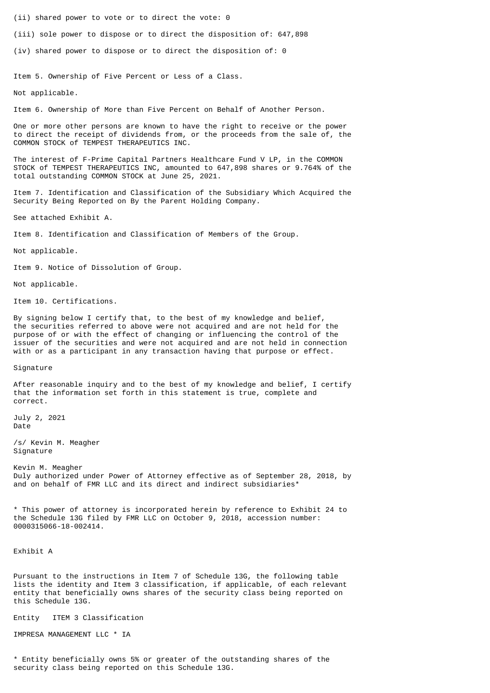(ii) shared power to vote or to direct the vote: 0

(iii) sole power to dispose or to direct the disposition of: 647,898

(iv) shared power to dispose or to direct the disposition of: 0

Item 5. Ownership of Five Percent or Less of a Class.

Not applicable.

Item 6. Ownership of More than Five Percent on Behalf of Another Person.

One or more other persons are known to have the right to receive or the power to direct the receipt of dividends from, or the proceeds from the sale of, the COMMON STOCK of TEMPEST THERAPEUTICS INC.

The interest of F-Prime Capital Partners Healthcare Fund V LP, in the COMMON STOCK of TEMPEST THERAPEUTICS INC, amounted to 647,898 shares or 9.764% of the total outstanding COMMON STOCK at June 25, 2021.

Item 7. Identification and Classification of the Subsidiary Which Acquired the Security Being Reported on By the Parent Holding Company.

See attached Exhibit A.

Item 8. Identification and Classification of Members of the Group.

Not applicable.

Item 9. Notice of Dissolution of Group.

Not applicable.

Item 10. Certifications.

By signing below I certify that, to the best of my knowledge and belief, the securities referred to above were not acquired and are not held for the purpose of or with the effect of changing or influencing the control of the issuer of the securities and were not acquired and are not held in connection with or as a participant in any transaction having that purpose or effect.

Signature

After reasonable inquiry and to the best of my knowledge and belief, I certify that the information set forth in this statement is true, complete and correct.

July 2, 2021 Date

/s/ Kevin M. Meagher Signature

Kevin M. Meagher Duly authorized under Power of Attorney effective as of September 28, 2018, by and on behalf of FMR LLC and its direct and indirect subsidiaries<sup>\*</sup>

\* This power of attorney is incorporated herein by reference to Exhibit 24 to the Schedule 13G filed by FMR LLC on October 9, 2018, accession number: 0000315066-18-002414.

Exhibit A

Pursuant to the instructions in Item 7 of Schedule 13G, the following table lists the identity and Item 3 classification, if applicable, of each relevant entity that beneficially owns shares of the security class being reported on this Schedule 13G.

Entity ITEM 3 Classification

IMPRESA MANAGEMENT LLC \* IA

\* Entity beneficially owns 5% or greater of the outstanding shares of the security class being reported on this Schedule 13G.